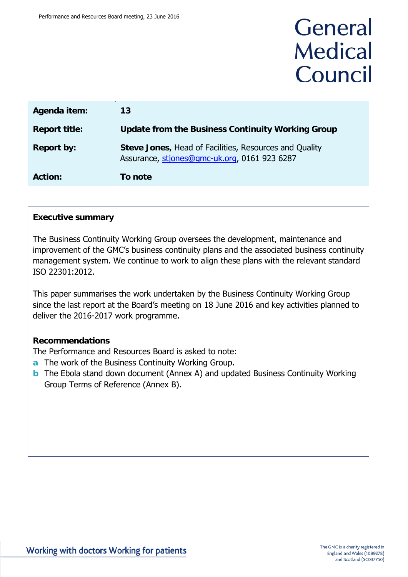# General **Medical** Council

| Agenda item:         | 13                                                                                                     |
|----------------------|--------------------------------------------------------------------------------------------------------|
| <b>Report title:</b> | <b>Update from the Business Continuity Working Group</b>                                               |
| <b>Report by:</b>    | Steve Jones, Head of Facilities, Resources and Quality<br>Assurance, stiones@gmc-uk.org, 0161 923 6287 |
| <b>Action:</b>       | To note                                                                                                |

### **Executive summary**

The Business Continuity Working Group oversees the development, maintenance and improvement of the GMC's business continuity plans and the associated business continuity management system. We continue to work to align these plans with the relevant standard ISO 22301:2012.

This paper summarises the work undertaken by the Business Continuity Working Group since the last report at the Board's meeting on 18 June 2016 and key activities planned to deliver the 2016-2017 work programme.

### **Recommendations**

The Performance and Resources Board is asked to note:

- **a** The work of the Business Continuity Working Group.
- **b** The Ebola stand down document (Annex A) and updated Business Continuity Working Group Terms of Reference (Annex B).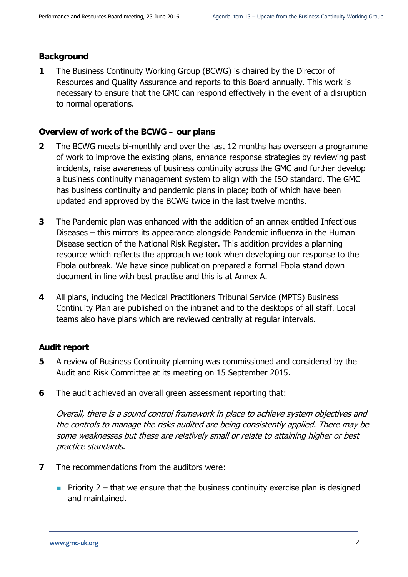### **Background**

**1** The Business Continuity Working Group (BCWG) is chaired by the Director of Resources and Quality Assurance and reports to this Board annually. This work is necessary to ensure that the GMC can respond effectively in the event of a disruption to normal operations.

### **Overview of work of the BCWG – our plans**

- **2** The BCWG meets bi-monthly and over the last 12 months has overseen a programme of work to improve the existing plans, enhance response strategies by reviewing past incidents, raise awareness of business continuity across the GMC and further develop a business continuity management system to align with the ISO standard. The GMC has business continuity and pandemic plans in place; both of which have been updated and approved by the BCWG twice in the last twelve months.
- **3** The Pandemic plan was enhanced with the addition of an annex entitled Infectious Diseases – this mirrors its appearance alongside Pandemic influenza in the Human Disease section of the National Risk Register. This addition provides a planning resource which reflects the approach we took when developing our response to the Ebola outbreak. We have since publication prepared a formal Ebola stand down document in line with best practise and this is at Annex A.
- **4** All plans, including the Medical Practitioners Tribunal Service (MPTS) Business Continuity Plan are published on the intranet and to the desktops of all staff. Local teams also have plans which are reviewed centrally at regular intervals.

### **Audit report**

- **5** A review of Business Continuity planning was commissioned and considered by the Audit and Risk Committee at its meeting on 15 September 2015.
- **6** The audit achieved an overall green assessment reporting that:

Overall, there is a sound control framework in place to achieve system objectives and the controls to manage the risks audited are being consistently applied. There may be some weaknesses but these are relatively small or relate to attaining higher or best practice standards.

- **7** The recommendations from the auditors were:
	- **Priority 2** that we ensure that the business continuity exercise plan is designed and maintained.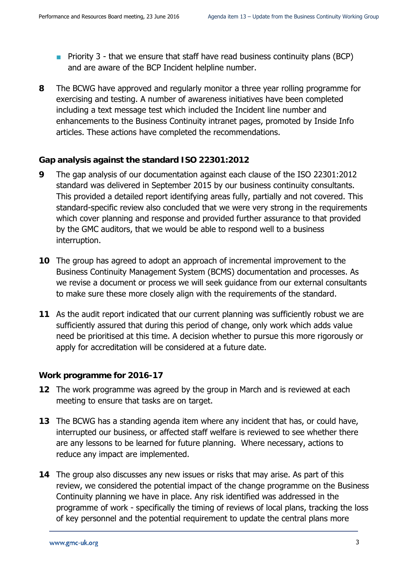- **Priority 3 that we ensure that staff have read business continuity plans (BCP)** and are aware of the BCP Incident helpline number.
- **8** The BCWG have approved and regularly monitor a three year rolling programme for exercising and testing. A number of awareness initiatives have been completed including a text message test which included the Incident line number and enhancements to the Business Continuity intranet pages, promoted by Inside Info articles. These actions have completed the recommendations.

### **Gap analysis against the standard ISO 22301:2012**

- **9** The gap analysis of our documentation against each clause of the ISO 22301:2012 standard was delivered in September 2015 by our business continuity consultants. This provided a detailed report identifying areas fully, partially and not covered. This standard-specific review also concluded that we were very strong in the requirements which cover planning and response and provided further assurance to that provided by the GMC auditors, that we would be able to respond well to a business interruption.
- **10** The group has agreed to adopt an approach of incremental improvement to the Business Continuity Management System (BCMS) documentation and processes. As we revise a document or process we will seek guidance from our external consultants to make sure these more closely align with the requirements of the standard.
- **11** As the audit report indicated that our current planning was sufficiently robust we are sufficiently assured that during this period of change, only work which adds value need be prioritised at this time. A decision whether to pursue this more rigorously or apply for accreditation will be considered at a future date.

### **Work programme for 2016-17**

- **12** The work programme was agreed by the group in March and is reviewed at each meeting to ensure that tasks are on target.
- **13** The BCWG has a standing agenda item where any incident that has, or could have, interrupted our business, or affected staff welfare is reviewed to see whether there are any lessons to be learned for future planning. Where necessary, actions to reduce any impact are implemented.
- **14** The group also discusses any new issues or risks that may arise. As part of this review, we considered the potential impact of the change programme on the Business Continuity planning we have in place. Any risk identified was addressed in the programme of work - specifically the timing of reviews of local plans, tracking the loss of key personnel and the potential requirement to update the central plans more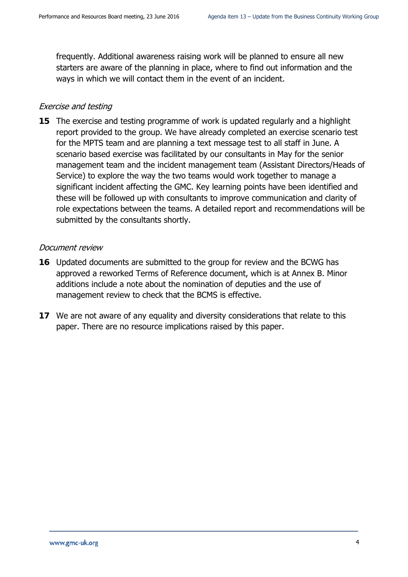frequently. Additional awareness raising work will be planned to ensure all new starters are aware of the planning in place, where to find out information and the ways in which we will contact them in the event of an incident.

### Exercise and testing

**15** The exercise and testing programme of work is updated regularly and a highlight report provided to the group. We have already completed an exercise scenario test for the MPTS team and are planning a text message test to all staff in June. A scenario based exercise was facilitated by our consultants in May for the senior management team and the incident management team (Assistant Directors/Heads of Service) to explore the way the two teams would work together to manage a significant incident affecting the GMC. Key learning points have been identified and these will be followed up with consultants to improve communication and clarity of role expectations between the teams. A detailed report and recommendations will be submitted by the consultants shortly.

### Document review

- **16** Updated documents are submitted to the group for review and the BCWG has approved a reworked Terms of Reference document, which is at Annex B. Minor additions include a note about the nomination of deputies and the use of management review to check that the BCMS is effective.
- **17** We are not aware of any equality and diversity considerations that relate to this paper. There are no resource implications raised by this paper.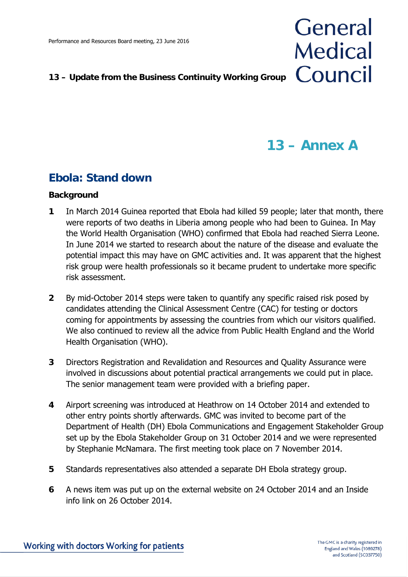### **13 – Update from the Business Continuity Working Group**

# **13 – Annex A**

General

**Medical** 

Council

## **Ebola: Stand down**

### **Background**

- **1** In March 2014 Guinea reported that Ebola had killed 59 people; later that month, there were reports of two deaths in Liberia among people who had been to Guinea. In May the World Health Organisation (WHO) confirmed that Ebola had reached Sierra Leone. In June 2014 we started to research about the nature of the disease and evaluate the potential impact this may have on GMC activities and. It was apparent that the highest risk group were health professionals so it became prudent to undertake more specific risk assessment.
- **2** By mid-October 2014 steps were taken to quantify any specific raised risk posed by candidates attending the Clinical Assessment Centre (CAC) for testing or doctors coming for appointments by assessing the countries from which our visitors qualified. We also continued to review all the advice from Public Health England and the World Health Organisation (WHO).
- **3** Directors Registration and Revalidation and Resources and Quality Assurance were involved in discussions about potential practical arrangements we could put in place. The senior management team were provided with a briefing paper.
- **4** Airport screening was introduced at Heathrow on 14 October 2014 and extended to other entry points shortly afterwards. GMC was invited to become part of the Department of Health (DH) Ebola Communications and Engagement Stakeholder Group set up by the Ebola Stakeholder Group on 31 October 2014 and we were represented by Stephanie McNamara. The first meeting took place on 7 November 2014.
- **5** Standards representatives also attended a separate DH Ebola strategy group.
- **6** A news item was put up on the external website on 24 October 2014 and an Inside info link on 26 October 2014.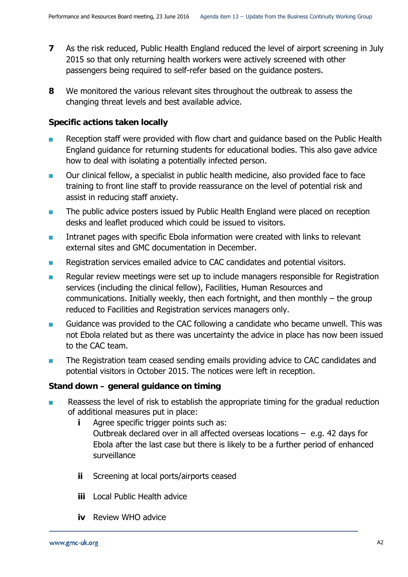- 
- **7** As the risk reduced, Public Health England reduced the level of airport screening in July 2015 so that only returning health workers were actively screened with other passengers being required to self-refer based on the guidance posters.
- **8** We monitored the various relevant sites throughout the outbreak to assess the changing threat levels and best available advice.

### **Specific actions taken locally**

- Reception staff were provided with flow chart and guidance based on the Public Health England guidance for returning students for educational bodies. This also gave advice how to deal with isolating a potentially infected person.
- **Durior Clinical fellow, a specialist in public health medicine, also provided face to face** training to front line staff to provide reassurance on the level of potential risk and assist in reducing staff anxiety.
- **The public advice posters issued by Public Health England were placed on reception** desks and leaflet produced which could be issued to visitors.
- **IFM** Intranet pages with specific Ebola information were created with links to relevant external sites and GMC documentation in December.
- Registration services emailed advice to CAC candidates and potential visitors.
- Regular review meetings were set up to include managers responsible for Registration services (including the clinical fellow), Facilities, Human Resources and communications. Initially weekly, then each fortnight, and then monthly – the group reduced to Facilities and Registration services managers only.
- Guidance was provided to the CAC following a candidate who became unwell. This was not Ebola related but as there was uncertainty the advice in place has now been issued to the CAC team.
- **The Registration team ceased sending emails providing advice to CAC candidates and CAC** potential visitors in October 2015. The notices were left in reception.

### **Stand down – general guidance on timing**

- Reassess the level of risk to establish the appropriate timing for the gradual reduction of additional measures put in place:
	- **i** Agree specific trigger points such as: Outbreak declared over in all affected overseas locations – e.g. 42 days for Ebola after the last case but there is likely to be a further period of enhanced surveillance
	- **ii** Screening at local ports/airports ceased
	- **iii** Local Public Health advice
	- **iv** Review WHO advice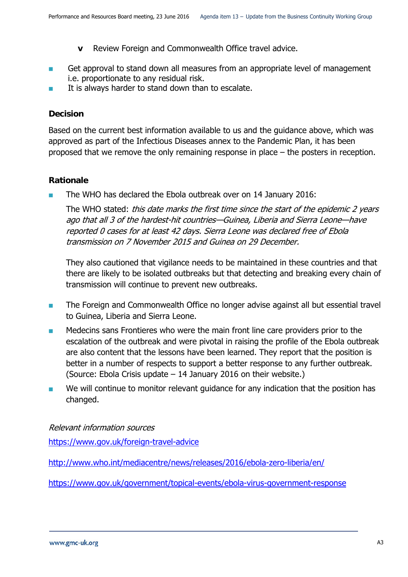- **v** Review Foreign and Commonwealth Office travel advice.
- Get approval to stand down all measures from an appropriate level of management i.e. proportionate to any residual risk.
- It is always harder to stand down than to escalate.

### **Decision**

Based on the current best information available to us and the guidance above, which was approved as part of the Infectious Diseases annex to the Pandemic Plan, it has been proposed that we remove the only remaining response in place – the posters in reception.

### **Rationale**

The WHO has declared the Ebola outbreak over on 14 January 2016:

The WHO stated: this date marks the first time since the start of the epidemic 2 years ago that all 3 of the hardest-hit countries—Guinea, Liberia and Sierra Leone—have reported 0 cases for at least 42 days. Sierra Leone was declared free of Ebola transmission on 7 November 2015 and Guinea on 29 December.

They also cautioned that vigilance needs to be maintained in these countries and that there are likely to be isolated outbreaks but that detecting and breaking every chain of transmission will continue to prevent new outbreaks.

- **The Foreign and Commonwealth Office no longer advise against all but essential travel** to Guinea, Liberia and Sierra Leone.
- Medecins sans Frontieres who were the main front line care providers prior to the escalation of the outbreak and were pivotal in raising the profile of the Ebola outbreak are also content that the lessons have been learned. They report that the position is better in a number of respects to support a better response to any further outbreak. (Source: Ebola Crisis update – 14 January 2016 on their website.)
- **Notable 10** We will continue to monitor relevant quidance for any indication that the position has changed.

### Relevant information sources

<https://www.gov.uk/foreign-travel-advice>

<http://www.who.int/mediacentre/news/releases/2016/ebola-zero-liberia/en/>

<https://www.gov.uk/government/topical-events/ebola-virus-government-response>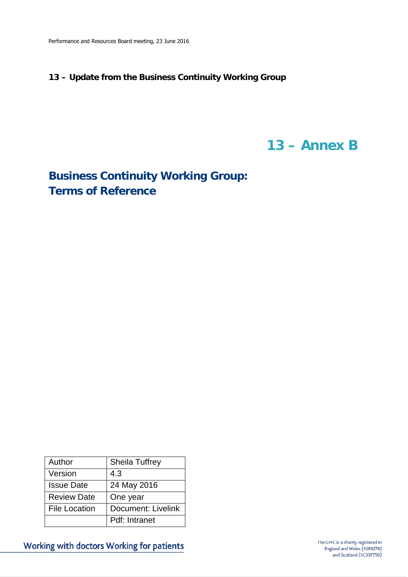### **13 – Update from the Business Continuity Working Group**

# **13 – Annex B**

**Business Continuity Working Group: Terms of Reference** 

| Author               | <b>Sheila Tuffrey</b> |
|----------------------|-----------------------|
| Version              | 4.3                   |
| <b>Issue Date</b>    | 24 May 2016           |
| <b>Review Date</b>   | One year              |
| <b>File Location</b> | Document: Livelink    |
|                      | Pdf: Intranet         |

Working with doctors Working for patients

The GMC is a charity registered in England and Wales (1089278) and Scotland (SC037750)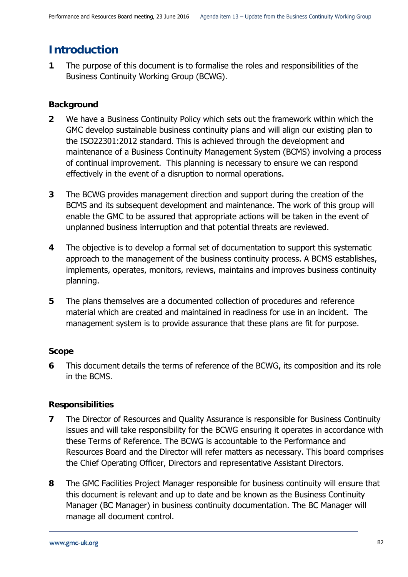## **Introduction**

**1** The purpose of this document is to formalise the roles and responsibilities of the Business Continuity Working Group (BCWG).

### **Background**

- **2** We have a Business Continuity Policy which sets out the framework within which the GMC develop sustainable business continuity plans and will align our existing plan to the ISO22301:2012 standard. This is achieved through the development and maintenance of a Business Continuity Management System (BCMS) involving a process of continual improvement. This planning is necessary to ensure we can respond effectively in the event of a disruption to normal operations.
- **3** The BCWG provides management direction and support during the creation of the BCMS and its subsequent development and maintenance. The work of this group will enable the GMC to be assured that appropriate actions will be taken in the event of unplanned business interruption and that potential threats are reviewed.
- **4** The objective is to develop a formal set of documentation to support this systematic approach to the management of the business continuity process. A BCMS establishes, implements, operates, monitors, reviews, maintains and improves business continuity planning.
- **5** The plans themselves are a documented collection of procedures and reference material which are created and maintained in readiness for use in an incident. The management system is to provide assurance that these plans are fit for purpose.

### **Scope**

**6** This document details the terms of reference of the BCWG, its composition and its role in the BCMS.

### **Responsibilities**

- **7** The Director of Resources and Quality Assurance is responsible for Business Continuity issues and will take responsibility for the BCWG ensuring it operates in accordance with these Terms of Reference. The BCWG is accountable to the Performance and Resources Board and the Director will refer matters as necessary. This board comprises the Chief Operating Officer, Directors and representative Assistant Directors.
- **8** The GMC Facilities Project Manager responsible for business continuity will ensure that this document is relevant and up to date and be known as the Business Continuity Manager (BC Manager) in business continuity documentation. The BC Manager will manage all document control.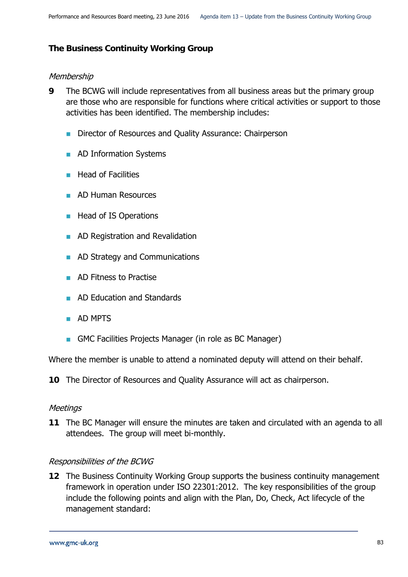### **The Business Continuity Working Group**

### Membership

- **9** The BCWG will include representatives from all business areas but the primary group are those who are responsible for functions where critical activities or support to those activities has been identified. The membership includes:
	- Director of Resources and Quality Assurance: Chairperson
	- **AD Information Systems**
	- $\blacksquare$  Head of Facilities
	- **AD Human Resources**
	- Head of IS Operations
	- **AD Registration and Revalidation**
	- **AD Strategy and Communications**
	- **AD Fitness to Practise**
	- **AD Education and Standards**
	- **AD MPTS**
	- GMC Facilities Projects Manager (in role as BC Manager)

Where the member is unable to attend a nominated deputy will attend on their behalf.

**10** The Director of Resources and Quality Assurance will act as chairperson.

### **Meetings**

**11** The BC Manager will ensure the minutes are taken and circulated with an agenda to all attendees. The group will meet bi-monthly.

### Responsibilities of the BCWG

**12** The Business Continuity Working Group supports the business continuity management framework in operation under ISO 22301:2012. The key responsibilities of the group include the following points and align with the Plan, Do, Check, Act lifecycle of the management standard: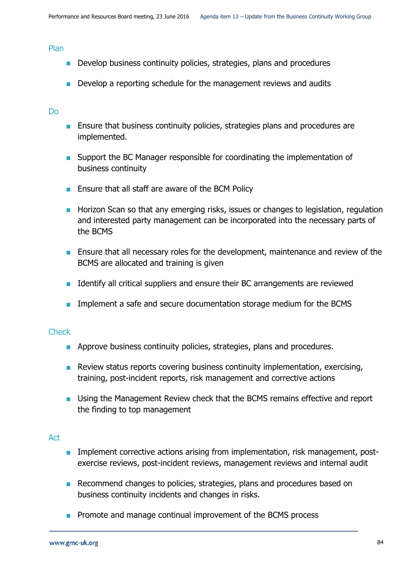#### Plan

- **Develop business continuity policies, strategies, plans and procedures**
- **Develop a reporting schedule for the management reviews and audits**

#### Do

- **Ensure that business continuity policies, strategies plans and procedures are** implemented.
- Support the BC Manager responsible for coordinating the implementation of business continuity
- **Ensure that all staff are aware of the BCM Policy**
- **Horizon Scan so that any emerging risks, issues or changes to legislation, regulation** and interested party management can be incorporated into the necessary parts of the BCMS
- **Ensure that all necessary roles for the development, maintenance and review of the** BCMS are allocated and training is given
- **If Identify all critical suppliers and ensure their BC arrangements are reviewed**
- **IMPLEMENTE Implement a safe and secure documentation storage medium for the BCMS**

### **Check**

- **Approve business continuity policies, strategies, plans and procedures.**
- Review status reports covering business continuity implementation, exercising, training, post-incident reports, risk management and corrective actions
- **Using the Management Review check that the BCMS remains effective and report** the finding to top management

### Act

- **IMPLEMENT COLLEGE** Interactive actions arising from implementation, risk management, postexercise reviews, post-incident reviews, management reviews and internal audit
- Recommend changes to policies, strategies, plans and procedures based on business continuity incidents and changes in risks.
- **Promote and manage continual improvement of the BCMS process**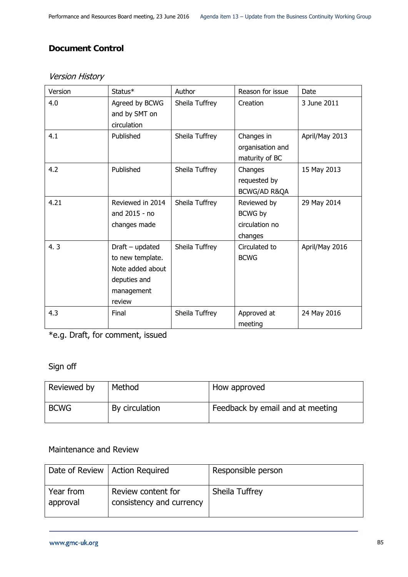### **Document Control**

| Version | Status*           | Author         | Reason for issue | Date           |
|---------|-------------------|----------------|------------------|----------------|
| 4.0     | Agreed by BCWG    | Sheila Tuffrey | Creation         | 3 June 2011    |
|         | and by SMT on     |                |                  |                |
|         | circulation       |                |                  |                |
| 4.1     | Published         | Sheila Tuffrey | Changes in       | April/May 2013 |
|         |                   |                | organisation and |                |
|         |                   |                | maturity of BC   |                |
| 4.2     | Published         | Sheila Tuffrey | Changes          | 15 May 2013    |
|         |                   |                | requested by     |                |
|         |                   |                | BCWG/AD R&QA     |                |
| 4.21    | Reviewed in 2014  | Sheila Tuffrey | Reviewed by      | 29 May 2014    |
|         | and 2015 - no     |                | BCWG by          |                |
|         | changes made      |                | circulation no   |                |
|         |                   |                | changes          |                |
| 4.3     | $Draft$ – updated | Sheila Tuffrey | Circulated to    | April/May 2016 |
|         | to new template.  |                | <b>BCWG</b>      |                |
|         | Note added about  |                |                  |                |
|         | deputies and      |                |                  |                |
|         | management        |                |                  |                |
|         | review            |                |                  |                |
| 4.3     | Final             | Sheila Tuffrey | Approved at      | 24 May 2016    |
|         |                   |                | meeting          |                |

### Version History

\*e.g. Draft, for comment, issued

### Sign off

| Reviewed by | Method         | How approved                     |
|-------------|----------------|----------------------------------|
| <b>BCWG</b> | By circulation | Feedback by email and at meeting |

### Maintenance and Review

|                       | Date of Review   Action Required               | Responsible person |
|-----------------------|------------------------------------------------|--------------------|
| Year from<br>approval | Review content for<br>consistency and currency | Sheila Tuffrey     |